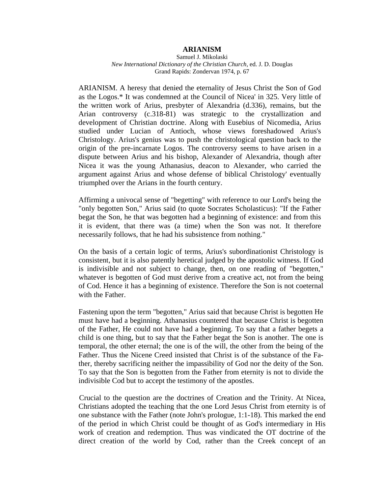## **ARIANISM**

Samuel J. Mikolaski *New International Dictionary of the Christian Church,* ed. J. D. Douglas Grand Rapids: Zondervan 1974, p. 67

ARIANISM. A heresy that denied the eternality of Jesus Christ the Son of God as the Logos.\* It was condemned at the Council of Nicea' in 325. Very little of the written work of Arius, presbyter of Alexandria (d.336), remains, but the Arian controversy (c.318-81) was strategic to the crystallization and development of Christian doctrine. Along with Eusebius of Nicomedia, Arius studied under Lucian of Antioch, whose views foreshadowed Arius's Christology. Arius's genius was to push the christological question back to the origin of the pre-incarnate Logos. The controversy seems to have arisen in a dispute between Arius and his bishop, Alexander of Alexandria, though after Nicea it was the young Athanasius, deacon to Alexander, who carried the argument against Arius and whose defense of biblical Christology' eventually triumphed over the Arians in the fourth century.

Affirming a univocal sense of "begetting" with reference to our Lord's being the "only begotten Son," Arius said (to quote Socrates Scholasticus): "If the Father begat the Son, he that was begotten had a beginning of existence: and from this it is evident, that there was (a time) when the Son was not. It therefore necessarily follows, that he had his subsistence from nothing."

On the basis of a certain logic of terms, Arius's subordinationist Christology is consistent, but it is also patently heretical judged by the apostolic witness. If God is indivisible and not subject to change, then, on one reading of "begotten," whatever is begotten of God must derive from a creative act, not from the being of Cod. Hence it has a beginning of existence. Therefore the Son is not coeternal with the Father.

Fastening upon the term "begotten," Arius said that because Christ is begotten He must have had a beginning. Athanasius countered that because Christ is begotten of the Father, He could not have had a beginning. To say that a father begets a child is one thing, but to say that the Father begat the Son is another. The one is temporal, the other eternal; the one is of the will, the other from the being of the Father. Thus the Nicene Creed insisted that Christ is of the substance of the Father, thereby sacrificing neither the impassibility of God nor the deity of the Son. To say that the Son is begotten from the Father from eternity is not to divide the indivisible Cod but to accept the testimony of the apostles.

Crucial to the question are the doctrines of Creation and the Trinity. At Nicea, Christians adopted the teaching that the one Lord Jesus Christ from eternity is of one substance with the Father (note John's prologue, 1:1-18). This marked the end of the period in which Christ could be thought of as God's intermediary in His work of creation and redemption. Thus was vindicated the OT doctrine of the direct creation of the world by Cod, rather than the Creek concept of an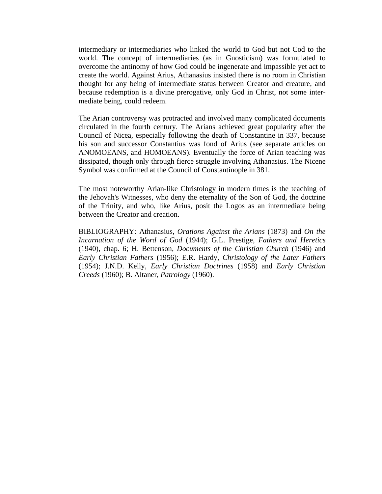intermediary or intermediaries who linked the world to God but not Cod to the world. The concept of intermediaries (as in Gnosticism) was formulated to overcome the antinomy of how God could be ingenerate and impassible yet act to create the world. Against Arius, Athanasius insisted there is no room in Christian thought for any being of intermediate status between Creator and creature, and because redemption is a divine prerogative, only God in Christ, not some intermediate being, could redeem.

The Arian controversy was protracted and involved many complicated documents circulated in the fourth century. The Arians achieved great popularity after the Council of Nicea, especially following the death of Constantine in 337, because his son and successor Constantius was fond of Arius (see separate articles on ANOMOEANS, and HOMOEANS). Eventually the force of Arian teaching was dissipated, though only through fierce struggle involving Athanasius. The Nicene Symbol was confirmed at the Council of Constantinople in 381.

The most noteworthy Arian-like Christology in modern times is the teaching of the Jehovah's Witnesses, who deny the eternality of the Son of God, the doctrine of the Trinity, and who, like Arius, posit the Logos as an intermediate being between the Creator and creation.

BIBLIOGRAPHY: Athanasius, *Orations Against the Arians* (1873) and *On the Incarnation of the Word of God* (1944); G.L. Prestige, *Fathers and Heretics*  (1940), chap. 6; H. Bettenson, *Documents of the Christian Church* (1946) and *Early Christian Fathers* (1956); E.R. Hardy, *Christology of the Later Fathers*  (1954); J.N.D. Kelly, *Early Christian Doctrines* (1958) and *Early Christian Creeds* (1960); B. Altaner, *Patrology* (1960).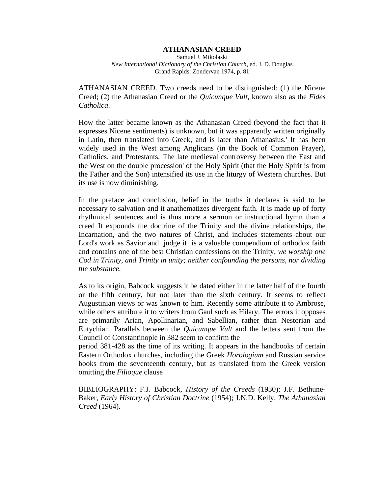### **ATHANASIAN CREED**

Samuel J. Mikolaski *New International Dictionary of the Christian Church,* ed. J. D. Douglas Grand Rapids: Zondervan 1974, p. 81

ATHANASIAN CREED. Two creeds need to be distinguished: (1) the Nicene Creed; (2) the Athanasian Creed or the *Quicunque Vult*, known also as the *Fides Catholica*.

How the latter became known as the Athanasian Creed (beyond the fact that it expresses Nicene sentiments) is unknown, but it was apparently written originally in Latin, then translated into Greek, and is later than Athanasius.' It has been widely used in the West among Anglicans (in the Book of Common Prayer), Catholics, and Protestants. The late medieval controversy between the East and the West on the double procession' of the Holy Spirit (that the Holy Spirit is from the Father and the Son) intensified its use in the liturgy of Western churches. But its use is now diminishing.

In the preface and conclusion, belief in the truths it declares is said to be necessary to salvation and it anathematizes divergent faith. It is made up of forty rhythmical sentences and is thus more a sermon or instructional hymn than a creed It expounds the doctrine of the Trinity and the divine relationships, the Incarnation, and the two natures of Christ, and includes statements about our Lord's work as Savior and [judge it](http://judge.it/) is a valuable compendium of orthodox faith and contains one of the best Christian confessions on the Trinity, *we worship one Cod in Trinity, and Trinity in unity; neither confounding the persons, nor dividing the substance.* 

As to its origin, Babcock suggests it be dated either in the latter half of the fourth or the fifth century, but not later than the sixth century. It seems to reflect Augustinian views or was known to him. Recently some attribute it to Ambrose, while others attribute it to writers from Gaul such as Hilary. The errors it opposes are primarily Arian, Apollinarian, and Sabellian, rather than Nestorian and Eutychian. Parallels between the *Quicunque Vult* and the letters sent from the Council of Constantinople in 382 seem to confirm the

period 381-428 as the time of its writing. It appears in the handbooks of certain Eastern Orthodox churches, including the Greek *Horologium* and Russian service books from the seventeenth century, but as translated from the Greek version omitting the *Filioque* clause

BIBLIOGRAPHY: F.J. Babcock, *History of the Creeds* (1930); J.F. Bethune-Baker, *Early History of Christian Doctrine* (1954); J.N.D. Kelly, *The Athanasian Creed* (1964).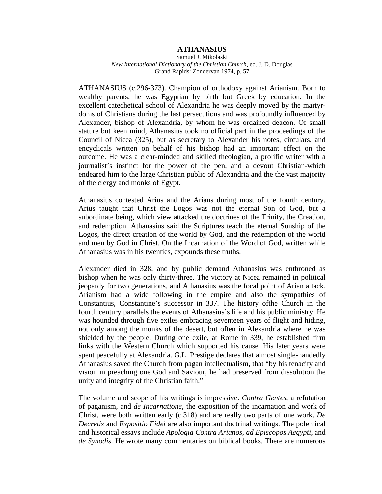## **ATHANASIUS**

Samuel J. Mikolaski *New International Dictionary of the Christian Church,* ed. J. D. Douglas Grand Rapids: Zondervan 1974, p. 57

ATHANASIUS (c.296-373). Champion of orthodoxy against Arianism. Born to wealthy parents, he was Egyptian by birth but Greek by education. In the excellent catechetical school of Alexandria he was deeply moved by the martyrdoms of Christians during the last persecutions and was profoundly influenced by Alexander, bishop of Alexandria, by whom he was ordained deacon. Of small stature but keen mind, Athanasius took no official part in the proceedings of the Council of Nicea (325), but as secretary to Alexander his notes, circulars, and encyclicals written on behalf of his bishop had an important effect on the outcome. He was a clear-minded and skilled theologian, a prolific writer with a journalist's instinct for the power of the pen, and a devout Christian-which endeared him to the large Christian public of Alexandria and the the vast majority of the clergy and monks of Egypt.

Athanasius contested Arius and the Arians during most of the fourth century. Arius taught that Christ the Logos was not the eternal Son of God, but a subordinate being, which view attacked the doctrines of the Trinity, the Creation, and redemption. Athanasius said the Scriptures teach the eternal Sonship of the Logos, the direct creation of the world by God, and the redemption of the world and men by God in Christ. On the Incarnation of the Word of God, written while Athanasius was in his twenties, expounds these truths.

Alexander died in 328, and by public demand Athanasius was enthroned as bishop when he was only thirty-three. The victory at Nicea remained in political jeopardy for two generations, and Athanasius was the focal point of Arian attack. Arianism had a wide following in the empire and also the sympathies of Constantius, Constantine's successor in 337. The history ofthe Church in the fourth century parallels the events of Athanasius's life and his public ministry. He was hounded through five exiles embracing seventeen years of flight and hiding, not only among the monks of the desert, but often in Alexandria where he was shielded by the people. During one exile, at Rome in 339, he established firm links with the Western Church which supported his cause. His later years were spent peacefully at Alexandria. G.L. Prestige declares that almost single-handedly Athanasius saved the Church from pagan intellectualism, that "by his tenacity and vision in preaching one God and Saviour, he had preserved from dissolution the unity and integrity of the Christian faith."

The volume and scope of his writings is impressive. *Contra Gentes*, a refutation of paganism, and *de Incarnatione*, the exposition of the incarnation and work of Christ, were both written early (c.318) and are really two parts of one work. *De Decretis* and *Expositio Fidei* are also important doctrinal writings. The polemical and historical essays include *Apologia Contra Arianos*, *ad Episcopos Aegypti*, and *de Synodis*. He wrote many commentaries on biblical books. There are numerous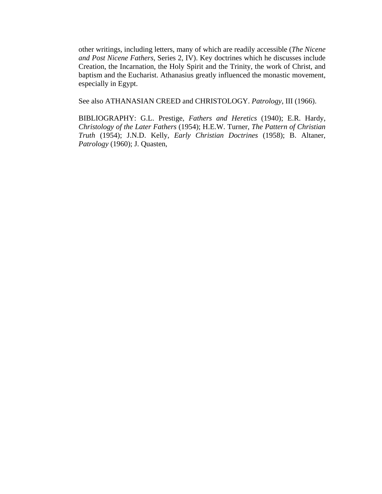other writings, including letters, many of which are readily accessible (*The Nicene and Post Nicene Fathers*, Series 2, IV). Key doctrines which he discusses include Creation, the Incarnation, the Holy Spirit and the Trinity, the work of Christ, and baptism and the Eucharist. Athanasius greatly influenced the monastic movement, especially in Egypt.

See also ATHANASIAN CREED and CHRISTOLOGY. *Patrology*, III (1966).

BIBLIOGRAPHY: G.L. Prestige, *Fathers and Heretics* (1940); E.R. Hardy, *Christology of the Later Fathers* (1954); H.E.W. Turner, *The Pattern of Christian Truth* (1954); J.N.D. Kelly, *Early Christian Doctrines* (1958); B. Altaner, *Patrology* (1960); J. Quasten,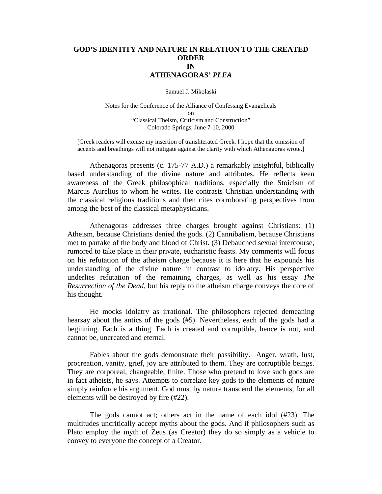# **GOD'S IDENTITY AND NATURE IN RELATION TO THE CREATED ORDER IN ATHENAGORAS'** *PLEA*

Samuel J. Mikolaski

Notes for the Conference of the Alliance of Confessing Evangelicals on "Classical Theism, Criticism and Construction" Colorado Springs, June 7-10, 2000

[Greek readers will excuse my insertion of transliterated Greek. I hope that the omission of accents and breathings will not mitigate against the clarity with which Athenagoras wrote.]

 Athenagoras presents (c. 175-77 A.D.) a remarkably insightful, biblically based understanding of the divine nature and attributes. He reflects keen awareness of the Greek philosophical traditions, especially the Stoicism of Marcus Aurelius to whom he writes. He contrasts Christian understanding with the classical religious traditions and then cites corroborating perspectives from among the best of the classical metaphysicians.

 Athenagoras addresses three charges brought against Christians: (1) Atheism, because Christians denied the gods. (2) Cannibalism, because Christians met to partake of the body and blood of Christ. (3) Debauched sexual intercourse, rumored to take place in their private, eucharistic feasts. My comments will focus on his refutation of the atheism charge because it is here that he expounds his understanding of the divine nature in contrast to idolatry. His perspective underlies refutation of the remaining charges, as well as his essay *The Resurrection of the Dead,* but his reply to the atheism charge conveys the core of his thought.

He mocks idolatry as irrational. The philosophers rejected demeaning hearsay about the antics of the gods (#5). Nevertheless, each of the gods had a beginning. Each is a thing. Each is created and corruptible, hence is not, and cannot be, uncreated and eternal.

 Fables about the gods demonstrate their passibility. Anger, wrath, lust, procreation, vanity, grief, joy are attributed to them. They are corruptible beings. They are corporeal, changeable, finite. Those who pretend to love such gods are in fact atheists, he says. Attempts to correlate key gods to the elements of nature simply reinforce his argument. God must by nature transcend the elements, for all elements will be destroyed by fire (#22).

 The gods cannot act; others act in the name of each idol (#23). The multitudes uncritically accept myths about the gods. And if philosophers such as Plato employ the myth of Zeus (as Creator) they do so simply as a vehicle to convey to everyone the concept of a Creator.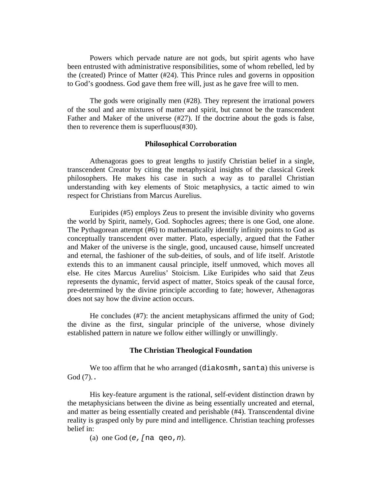Powers which pervade nature are not gods, but spirit agents who have been entrusted with administrative responsibilities, some of whom rebelled, led by the (created) Prince of Matter (#24). This Prince rules and governs in opposition to God's goodness. God gave them free will, just as he gave free will to men.

 The gods were originally men (#28). They represent the irrational powers of the soul and are mixtures of matter and spirit, but cannot be the transcendent Father and Maker of the universe (#27). If the doctrine about the gods is false, then to reverence them is superfluous(#30).

## **Philosophical Corroboration**

 Athenagoras goes to great lengths to justify Christian belief in a single, transcendent Creator by citing the metaphysical insights of the classical Greek philosophers. He makes his case in such a way as to parallel Christian understanding with key elements of Stoic metaphysics, a tactic aimed to win respect for Christians from Marcus Aurelius.

Euripides (#5) employs Zeus to present the invisible divinity who governs the world by Spirit, namely, God. Sophocles agrees; there is one God, one alone. The Pythagorean attempt (#6) to mathematically identify infinity points to God as conceptually transcendent over matter. Plato, especially, argued that the Father and Maker of the universe is the single, good, uncaused cause, himself uncreated and eternal, the fashioner of the sub-deities, of souls, and of life itself. Aristotle extends this to an immanent causal principle, itself unmoved, which moves all else. He cites Marcus Aurelius' Stoicism. Like Euripides who said that Zeus represents the dynamic, fervid aspect of matter, Stoics speak of the causal force, pre-determined by the divine principle according to fate; however, Athenagoras does not say how the divine action occurs.

 He concludes (#7): the ancient metaphysicans affirmed the unity of God; the divine as the first, singular principle of the universe, whose divinely established pattern in nature we follow either willingly or unwillingly.

## **The Christian Theological Foundation**

We too affirm that he who arranged  $(diakosmh,sant)$  this universe is God (7)..

His key-feature argument is the rational, self-evident distinction drawn by the metaphysicians between the divine as being essentially uncreated and eternal, and matter as being essentially created and perishable (#4). Transcendental divine reality is grasped only by pure mind and intelligence. Christian teaching professes belief in:

(a) one God (*e,[*na qeo,*n*).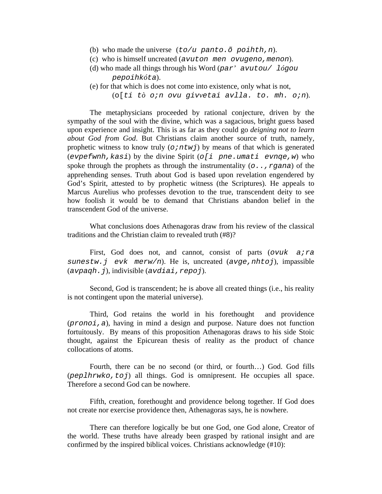- (b) who made the universe (*to/u panto.õ poihth,n*).
- (c) who is himself uncreated (*avuton men ovugeno,menon*).
- (d) who made all things through his Word (*par' avutou/ lógou pepoihkóta*).
- (e) for that which is does not come into existence, only what is not, (o[*ti tò o;n ovu givvetai avlla. to. mh. o;n*).

 The metaphysicians proceeded by rational conjecture, driven by the sympathy of the soul with the divine, which was a sagacious, bright guess based upon experience and insight. This is as far as they could go *deigning not to learn about God from God*. But Christians claim another source of truth, namely, prophetic witness to know truly (*o;ntwj*) by means of that which is generated (*evpefwnh,kasi*) by the divine Spirit (*o[i pne.umati evnqe,w*) who spoke through the prophets as through the instrumentality (*o..,rgana*) of the apprehending senses. Truth about God is based upon revelation engendered by God's Spirit, attested to by prophetic witness (the Scriptures). He appeals to Marcus Aurelius who professes devotion to the true, transcendent deity to see how foolish it would be to demand that Christians abandon belief in the transcendent God of the universe.

 What conclusions does Athenagoras draw from his review of the classical traditions and the Christian claim to revealed truth (#8)?

 First, God does not, and cannot, consist of parts (*ovuk a;ra sunestw.j evk merw/n*). He is, uncreated (*avge,nhtoj*), impassible (*avpaqh.j*), indivisible (*avdiai,repoj*).

 Second, God is transcendent; he is above all created things (i.e., his reality is not contingent upon the material universe).

 Third, God retains the world in his forethought and providence (*pronoi,a*), having in mind a design and purpose. Nature does not function fortuitously. By means of this proposition Athenagoras draws to his side Stoic thought, against the Epicurean thesis of reality as the product of chance collocations of atoms.

 Fourth, there can be no second (or third, or fourth…) God. God fills (*peplhrwko,toj*) all things. God is omnipresent. He occupies all space. Therefore a second God can be nowhere.

 Fifth, creation, forethought and providence belong together. If God does not create nor exercise providence then, Athenagoras says, he is nowhere.

 There can therefore logically be but one God, one God alone, Creator of the world. These truths have already been grasped by rational insight and are confirmed by the inspired biblical voices. Christians acknowledge (#10):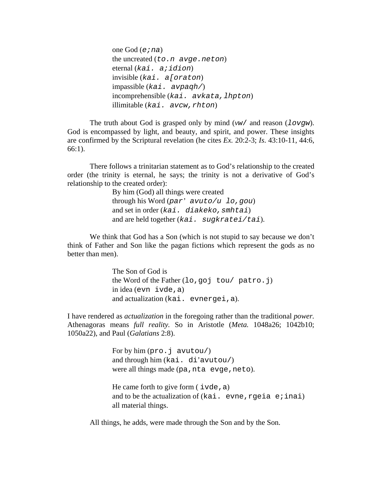one God (*e;na*) the uncreated (*to.n avge.neton*) eternal (*kai. a;idion*) invisible (*kai. a[oraton*) impassible (*kai. avpaqh/*) incomprehensible (*kai. avkata,lhpton*) illimitable (*kai. avcw,rhton*)

 The truth about God is grasped only by mind (*vw*/ and reason (*lovgw*). God is encompassed by light, and beauty, and spirit, and power. These insights are confirmed by the Scriptural revelation (he cites *Ex.* 20:2-3; *Is*. 43:10-11, 44:6, 66:1).

 There follows a trinitarian statement as to God's relationship to the created order (the trinity is eternal, he says; the trinity is not a derivative of God's relationship to the created order):

> By him (God) all things were created through his Word (*par' avuto/u lo,gou*) and set in order (*kai. diakeko,smhtai*) and are held together (*kai. sugkratei/tai*).

 We think that God has a Son (which is not stupid to say because we don't think of Father and Son like the pagan fictions which represent the gods as no better than men).

> The Son of God is the Word of the Father (lo,goj tou/ patro.j) in idea (evn ivde,a) and actualization (kai. evnergei,a).

I have rendered as *actualization* in the foregoing rather than the traditional *power.*  Athenagoras means *full reality.* So in Aristotle (*Meta.* 1048a26; 1042b10; 1050a22), and Paul (*Galatians* 2:8).

> For by him (pro.j avutou/) and through him (kai. di'avutou/) were all things made (pa, nta evge, neto).

He came forth to give form  $(i \nabla \cdot \mathbf{d})$ and to be the actualization of  $(kai. even c. area)$ all material things.

All things, he adds, were made through the Son and by the Son.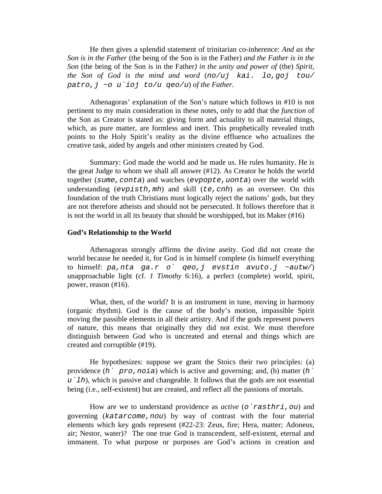He then gives a splendid statement of trinitarian co-inherence: *And as the Son is in the Father* (the being of the Son is in the Father) *and the Father is in the Son* (the being of the Son is in the Father*) in the unity and power of* (the) *Spirit, the Son of God is the mind and word* (*no/uj kai. lo,goj tou/ patro,j ~o u`ioj to/u qeo/u*) *of the Father.* 

 Athenagoras' explanation of the Son's nature which follows in #10 is not pertinent to my main consideration in these notes, only to add that the *function* of the Son as Creator is stated as: giving form and actuality to all material things, which, as pure matter, are formless and inert. This prophetically revealed truth points to the Holy Spirit's reality as the divine effluence who actualizes the creative task, aided by angels and other ministers created by God.

 Summary: God made the world and he made us. He rules humanity. He is the great Judge to whom we shall all answer (#12). As Creator he holds the world together (*sume,conta*) and watches (*evpopte,uonta*) over the world with understanding (*evpisth,mh*) and skill (*te,cnh*) as an overseer. On this foundation of the truth Christians must logically reject the nations' gods, but they are not therefore atheists and should not be persecuted. It follows therefore that it is not the world in all its beauty that should be worshipped, but its Maker (#16)

#### **God's Relationship to the World**

 Athenagoras strongly affirms the divine aseity. God did not create the world because he needed it, for God is in himself complete (is himself everything to himself: *pa,nta ga.r o` qeo,j evstin avuto.j ~autw/*) unapproachable light (cf. *1 Timothy* 6:16), a perfect (complete) world, spirit, power, reason (#16).

 What, then, of the world? It is an instrument in tune, moving in harmony (organic rhythm). God is the cause of the body's motion, impassible Spirit moving the passible elements in all their artistry. And if the gods represent powers of nature, this means that originally they did not exist. We must therefore distinguish between God who is uncreated and eternal and things which are created and corruptible (#19).

 He hypothesizes: suppose we grant the Stoics their two principles: (a) providence (*h` pro,noia*) which is active and governing; and, (b) matter (*h` u`lh*), which is passive and changeable. It follows that the gods are not essential being (i.e., self-existent) but are created, and reflect all the passions of mortals.

 How are we to understand providence as *active* (*o`rasthri,ou*) and governing (*katarcome,nou*) by way of contrast with the four material elements which key gods represent (#22-23: Zeus, fire; Hera, matter; Adoneus, air; Nestor, water)? The one true God is transcendent, self-existent, eternal and immanent. To what purpose or purposes are God's actions in creation and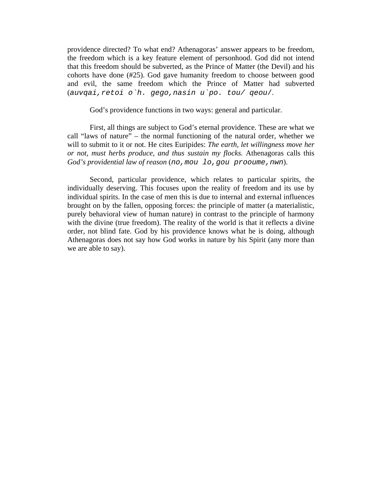providence directed? To what end? Athenagoras' answer appears to be freedom, the freedom which is a key feature element of personhood. God did not intend that this freedom should be subverted, as the Prince of Matter (the Devil) and his cohorts have done (#25). God gave humanity freedom to choose between good and evil, the same freedom which the Prince of Matter had subverted (*auvqai,retoi o`h. gego,nasin u`po. tou/ qeou*/.

God's providence functions in two ways: general and particular.

 First, all things are subject to God's eternal providence. These are what we call "laws of nature" – the normal functioning of the natural order, whether we will to submit to it or not. He cites Euripides: *The earth, let willingness move her or not, must herbs produce, and thus sustain my flocks.* Athenagoras calls this *God's providential law of reason* (*no,mou lo,gou prooume,nwn*).

 Second, particular providence, which relates to particular spirits, the individually deserving. This focuses upon the reality of freedom and its use by individual spirits. In the case of men this is due to internal and external influences brought on by the fallen, opposing forces: the principle of matter (a materialistic, purely behavioral view of human nature) in contrast to the principle of harmony with the divine (true freedom). The reality of the world is that it reflects a divine order, not blind fate. God by his providence knows what he is doing, although Athenagoras does not say how God works in nature by his Spirit (any more than we are able to say).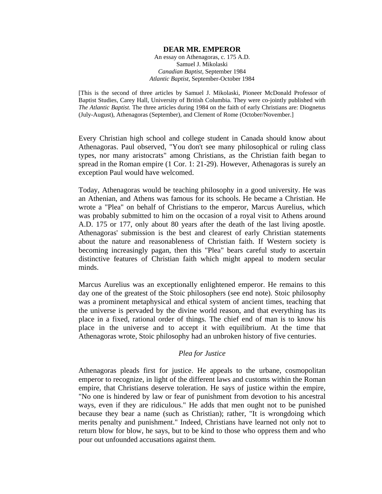### **DEAR MR. EMPEROR**

An essay on Athenagoras, c. 175 A.D. Samuel J. Mikolaski *Canadian Baptist,* September 1984 *Atlantic Baptist*, September-October 1984

[This is the second of three articles by Samuel J. Mikolaski, Pioneer McDonald Professor of Baptist Studies, Carey Hall, University of British Columbia. They were co-jointly published with *The Atlantic Baptist*. The three articles during 1984 on the faith of early Christians are: Diognetus (July-August), Athenagoras (September), and Clement of Rome (October/November.]

Every Christian high school and college student in Canada should know about Athenagoras. Paul observed, "You don't see many philosophical or ruling class types, nor many aristocrats" among Christians, as the Christian faith began to spread in the Roman empire (1 Cor. 1: 21-29). However, Athenagoras is surely an exception Paul would have welcomed.

Today, Athenagoras would be teaching philosophy in a good university. He was an Athenian, and Athens was famous for its schools. He became a Christian. He wrote a "Plea" on behalf of Christians to the emperor, Marcus Aurelius, which was probably submitted to him on the occasion of a royal visit to Athens around A.D. 175 or 177, only about 80 years after the death of the last living apostle. Athenagoras' submission is the best and clearest of early Christian statements about the nature and reasonableness of Christian faith. If Western society is becoming increasingly pagan, then this "Plea" bears careful study to ascertain distinctive features of Christian faith which might appeal to modern secular minds.

Marcus Aurelius was an exceptionally enlightened emperor. He remains to this day one of the greatest of the Stoic philosophers (see end note). Stoic philosophy was a prominent metaphysical and ethical system of ancient times, teaching that the universe is pervaded by the divine world reason, and that everything has its place in a fixed, rational order of things. The chief end of man is to know his place in the universe and to accept it with equilibrium. At the time that Athenagoras wrote, Stoic philosophy had an unbroken history of five centuries.

## *Plea for Justice*

Athenagoras pleads first for justice. He appeals to the urbane, cosmopolitan emperor to recognize, in light of the different laws and customs within the Roman empire, that Christians deserve toleration. He says of justice within the empire, "No one is hindered by law or fear of punishment from devotion to his ancestral ways, even if they are ridiculous." He adds that men ought not to be punished because they bear a name (such as Christian); rather, "It is wrongdoing which merits penalty and punishment." Indeed, Christians have learned not only not to return blow for blow, he says, but to be kind to those who oppress them and who pour out unfounded accusations against them.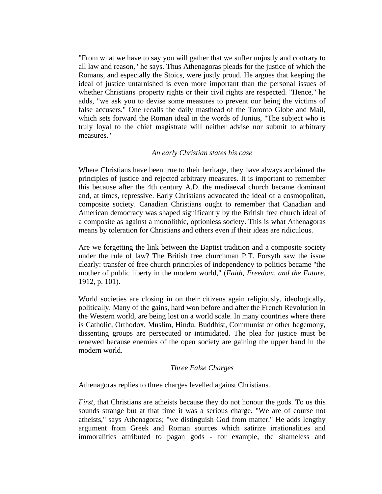"From what we have to say you will gather that we suffer unjustly and contrary to all law and reason," he says. Thus Athenagoras pleads for the justice of which the Romans, and especially the Stoics, were justly proud. He argues that keeping the ideal of justice untarnished is even more important than the personal issues of whether Christians' property rights or their civil rights are respected. "Hence," he adds, "we ask you to devise some measures to prevent our being the victims of false accusers." One recalls the daily masthead of the Toronto Globe and Mail, which sets forward the Roman ideal in the words of Junius, "The subject who is truly loyal to the chief magistrate will neither advise nor submit to arbitrary measures."

## *An early Christian states his case*

Where Christians have been true to their heritage, they have always acclaimed the principles of justice and rejected arbitrary measures. It is important to remember this because after the 4th century A.D. the mediaeval church became dominant and, at times, repressive. Early Christians advocated the ideal of a cosmopolitan, composite society. Canadian Christians ought to remember that Canadian and American democracy was shaped significantly by the British free church ideal of a composite as against a monolithic, optionless society. This is what Athenagoras means by toleration for Christians and others even if their ideas are ridiculous.

Are we forgetting the link between the Baptist tradition and a composite society under the rule of law? The British free churchman P.T. Forsyth saw the issue clearly: transfer of free church principles of independency to politics became "the mother of public liberty in the modern world," (*Faith, Freedom, and the Future*, 1912, p. 101).

World societies are closing in on their citizens again religiously, ideologically, politically. Many of the gains, hard won before and after the French Revolution in the Western world, are being lost on a world scale. In many countries where there is Catholic, Orthodox, Muslim, Hindu, Buddhist, Communist or other hegemony, dissenting groups are persecuted or intimidated. The plea for justice must be renewed because enemies of the open society are gaining the upper hand in the modern world.

## *Three False Charges*

Athenagoras replies to three charges levelled against Christians.

*First*, that Christians are atheists because they do not honour the gods. To us this sounds strange but at that time it was a serious charge. "We are of course not atheists," says Athenagoras; "we distinguish God from matter." He adds lengthy argument from Greek and Roman sources which satirize irrationalities and immoralities attributed to pagan gods - for example, the shameless and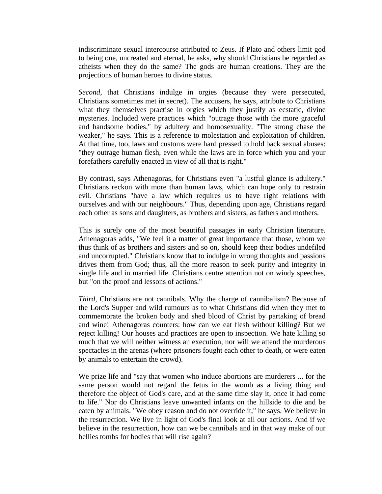indiscriminate sexual intercourse attributed to Zeus. If Plato and others limit god to being one, uncreated and eternal, he asks, why should Christians be regarded as atheists when they do the same? The gods are human creations. They are the projections of human heroes to divine status.

*Second*, that Christians indulge in orgies (because they were persecuted, Christians sometimes met in secret). The accusers, he says, attribute to Christians what they themselves practise in orgies which they justify as ecstatic, divine mysteries. Included were practices which "outrage those with the more graceful and handsome bodies," by adultery and homosexuality. "The strong chase the weaker," he says. This is a reference to molestation and exploitation of children. At that time, too, laws and customs were hard pressed to hold back sexual abuses: "they outrage human flesh, even while the laws are in force which you and your forefathers carefully enacted in view of all that is right."

By contrast, says Athenagoras, for Christians even "a lustful glance is adultery." Christians reckon with more than human laws, which can hope only to restrain evil. Christians "have a law which requires us to have right relations with ourselves and with our neighbours." Thus, depending upon age, Christians regard each other as sons and daughters, as brothers and sisters, as fathers and mothers.

This is surely one of the most beautiful passages in early Christian literature. Athenagoras adds, "We feel it a matter of great importance that those, whom we thus think of as brothers and sisters and so on, should keep their bodies undefiled and uncorrupted." Christians know that to indulge in wrong thoughts and passions drives them from God; thus, all the more reason to seek purity and integrity in single life and in married life. Christians centre attention not on windy speeches, but "on the proof and lessons of actions."

*Third,* Christians are not cannibals. Why the charge of cannibalism? Because of the Lord's Supper and wild rumours as to what Christians did when they met to commemorate the broken body and shed blood of Christ by partaking of bread and wine! Athenagoras counters: how can we eat flesh without killing? But we reject killing! Our houses and practices are open to inspection. We hate killing so much that we will neither witness an execution, nor will we attend the murderous spectacles in the arenas (where prisoners fought each other to death, or were eaten by animals to entertain the crowd).

We prize life and "say that women who induce abortions are murderers ... for the same person would not regard the fetus in the womb as a living thing and therefore the object of God's care, and at the same time slay it, once it had come to life." Nor do Christians leave unwanted infants on the hillside to die and be eaten by animals. "We obey reason and do not override it," he says. We believe in the resurrection. We live in light of God's final look at all our actions. And if we believe in the resurrection, how can we be cannibals and in that way make of our bellies tombs for bodies that will rise again?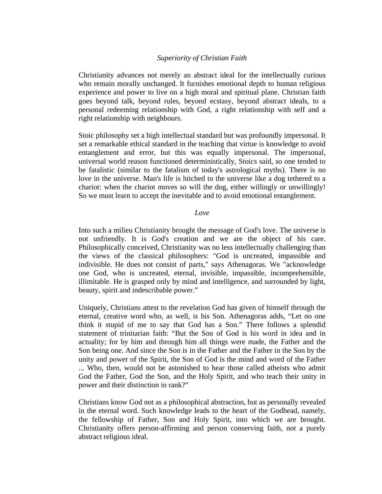# *Superiority of Christian Faith*

Christianity advances not merely an abstract ideal for the intellectually curious who remain morally unchanged. It furnishes emotional depth to human religious experience and power to live on a high moral and spiritual plane. Christian faith goes beyond talk, beyond rules, beyond ecstasy, beyond abstract ideals, to a personal redeeming relationship with God, a right relationship with self and a right relationship with neighbours.

Stoic philosophy set a high intellectual standard but was profoundly impersonal. It set a remarkable ethical standard in the teaching that virtue is knowledge to avoid entanglement and error, but this was equally impersonal. The impersonal, universal world reason functioned deterministically, Stoics said, so one tended to be fatalistic (similar to the fatalism of today's astrological myths). There is no love in the universe. Man's life is hitched to the universe like a dog tethered to a chariot: when the chariot moves so will the dog, either willingly or unwillingly! So we must learn to accept the inevitable and to avoid emotional entanglement.

## *Love*

Into such a milieu Christianity brought the message of God's love. The universe is not unfriendly. It is God's creation and we are the object of his care. Philosophically conceived, Christianity was no less intellectually challenging than the views of the classical philosophers: "God is uncreated, impassible and indivisible. He does not consist of parts," says Athenagoras. We "acknowledge one God, who is uncreated, eternal, invisible, impassible, incomprehensible, illimitable. He is grasped only by mind and intelligence, and surrounded by light, beauty, spirit and indescribable power."

Uniquely, Christians attest to the revelation God has given of himself through the eternal, creative word who, as well, is his Son. Athenagoras adds, "Let no one think it stupid of me to say that God has a Son." There follows a splendid statement of trinitarian faith: "But the Son of God is his word in idea and in actuality; for by him and through him all things were made, the Father and the Son being one. And since the Son is in the Father and the Father in the Son by the unity and power of the Spirit, the Son of God is the mind and word of the Father ... Who, then, would not be astonished to hear those called atheists who admit God the Father, God the Son, and the Holy Spirit, and who teach their unity in power and their distinction in rank?"

Christians know God not as a philosophical abstraction, but as personally revealed in the eternal word. Such knowledge leads to the heart of the Godhead, namely, the fellowship of Father, Son and Holy Spirit, into which we are brought. Christianity offers person-affirming and person conserving faith, not a purely abstract religious ideal.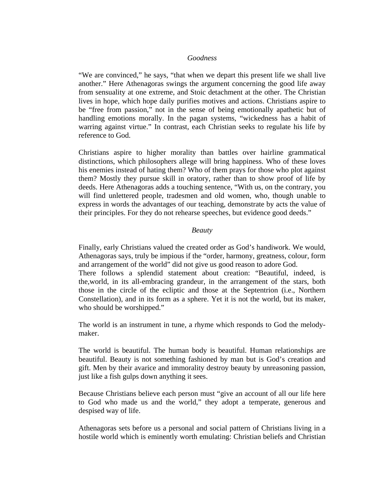## *Goodness*

"We are convinced," he says, "that when we depart this present life we shall live another." Here Athenagoras swings the argument concerning the good life away from sensuality at one extreme, and Stoic detachment at the other. The Christian lives in hope, which hope daily purifies motives and actions. Christians aspire to be "free from passion," not in the sense of being emotionally apathetic but of handling emotions morally. In the pagan systems, "wickedness has a habit of warring against virtue." In contrast, each Christian seeks to regulate his life by reference to God.

Christians aspire to higher morality than battles over hairline grammatical distinctions, which philosophers allege will bring happiness. Who of these loves his enemies instead of hating them? Who of them prays for those who plot against them? Mostly they pursue skill in oratory, rather than to show proof of life by deeds. Here Athenagoras adds a touching sentence, "With us, on the contrary, you will find unlettered people, tradesmen and old women, who, though unable to express in words the advantages of our teaching, demonstrate by acts the value of their principles. For they do not rehearse speeches, but evidence good deeds."

## *Beauty*

Finally, early Christians valued the created order as God's handiwork. We would, Athenagoras says, truly be impious if the "order, harmony, greatness, colour, form and arrangement of the world" did not give us good reason to adore God.

There follows a splendid statement about creation: "Beautiful, indeed, is the,world, in its all-embracing grandeur, in the arrangement of the stars, both those in the circle of the ecliptic and those at the Septentrion (i.e., Northern Constellation), and in its form as a sphere. Yet it is not the world, but its maker, who should be worshipped."

The world is an instrument in tune, a rhyme which responds to God the melodymaker.

The world is beautiful. The human body is beautiful. Human relationships are beautiful. Beauty is not something fashioned by man but is God's creation and gift. Men by their avarice and immorality destroy beauty by unreasoning passion, just like a fish gulps down anything it sees.

Because Christians believe each person must "give an account of all our life here to God who made us and the world," they adopt a temperate, generous and despised way of life.

Athenagoras sets before us a personal and social pattern of Christians living in a hostile world which is eminently worth emulating: Christian beliefs and Christian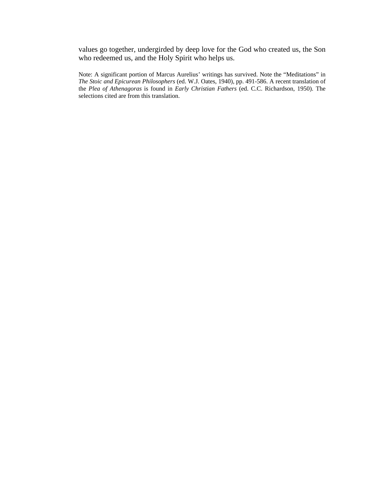values go together, undergirded by deep love for the God who created us, the Son who redeemed us, and the Holy Spirit who helps us.

Note: A significant portion of Marcus Aurelius' writings has survived. Note the "Meditations" in *The Stoic and Epicurean Philosophers* (ed. W.J. Oates, 1940), pp. 491-586. A recent translation of the *Plea of Athenagoras* is found in *Early Christian Fathers* (ed. C.C. Richardson, 1950). The selections cited are from this translation.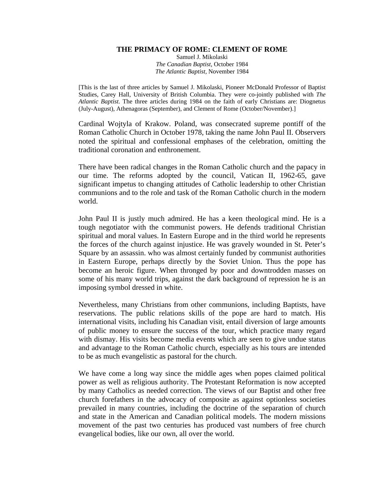## **THE PRIMACY OF ROME: CLEMENT OF ROME**

Samuel J. Mikolaski *The Canadian Baptist*, October 1984 *The Atlantic Baptist,* November 1984

[This is the last of three articles by Samuel J. Mikolaski, Pioneer McDonald Professor of Baptist Studies, Carey Hall, University of British Columbia. They were co-jointly published with *The Atlantic Baptist*. The three articles during 1984 on the faith of early Christians are: Diognetus (July-August), Athenagoras (September), and Clement of Rome (October/November).]

Cardinal Wojtyla of Krakow. Poland, was consecrated supreme pontiff of the Roman Catholic Church in October 1978, taking the name John Paul II. Observers noted the spiritual and confessional emphases of the celebration, omitting the traditional coronation and enthronement.

There have been radical changes in the Roman Catholic church and the papacy in our time. The reforms adopted by the council, Vatican II, 1962-65, gave significant impetus to changing attitudes of Catholic leadership to other Christian communions and to the role and task of the Roman Catholic church in the modern world.

John Paul II is justly much admired. He has a keen theological mind. He is a tough negotiator with the communist powers. He defends traditional Christian spiritual and moral values. In Eastern Europe and in the third world he represents the forces of the church against injustice. He was gravely wounded in St. Peter's Square by an assassin. who was almost certainly funded by communist authorities in Eastern Europe, perhaps directly by the Soviet Union. Thus the pope has become an heroic figure. When thronged by poor and downtrodden masses on some of his many world trips, against the dark background of repression he is an imposing symbol dressed in white.

Nevertheless, many Christians from other communions, including Baptists, have reservations. The public relations skills of the pope are hard to match. His international visits, including his Canadian visit, entail diversion of large amounts of public money to ensure the success of the tour, which practice many regard with dismay. His visits become media events which are seen to give undue status and advantage to the Roman Catholic church, especially as his tours are intended to be as much evangelistic as pastoral for the church.

We have come a long way since the middle ages when popes claimed political power as well as religious authority. The Protestant Reformation is now accepted by many Catholics as needed correction. The views of our Baptist and other free church forefathers in the advocacy of composite as against optionless societies prevailed in many countries, including the doctrine of the separation of church and state in the American and Canadian political models. The modern missions movement of the past two centuries has produced vast numbers of free church evangelical bodies, like our own, all over the world.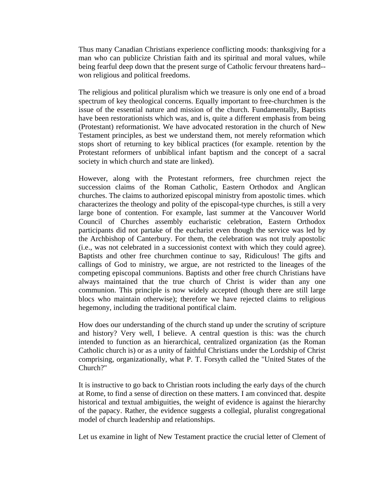Thus many Canadian Christians experience conflicting moods: thanksgiving for a man who can publicize Christian faith and its spiritual and moral values, while being fearful deep down that the present surge of Catholic fervour threatens hard- won religious and political freedoms.

The religious and political pluralism which we treasure is only one end of a broad spectrum of key theological concerns. Equally important to free-churchmen is the issue of the essential nature and mission of the church. Fundamentally, Baptists have been restorationists which was, and is, quite a different emphasis from being (Protestant) reformationist. We have advocated restoration in the church of New Testament principles, as best we understand them, not merely reformation which stops short of returning to key biblical practices (for example. retention by the Protestant reformers of unbiblical infant baptism and the concept of a sacral society in which church and state are linked).

However, along with the Protestant reformers, free churchmen reject the succession claims of the Roman Catholic, Eastern Orthodox and Anglican churches. The claims to authorized episcopal ministry from apostolic times. which characterizes the theology and polity of the episcopal-type churches, is still a very large bone of contention. For example, last summer at the Vancouver World Council of Churches assembly eucharistic celebration, Eastern Orthodox participants did not partake of the eucharist even though the service was led by the Archbishop of Canterbury. For them, the celebration was not truly apostolic (i.e., was not celebrated in a successionist context with which they could agree). Baptists and other free churchmen continue to say, Ridiculous! The gifts and callings of God to ministry, we argue, are not restricted to the lineages of the competing episcopal communions. Baptists and other free church Christians have always maintained that the true church of Christ is wider than any one communion. This principle is now widely accepted (though there are still large blocs who maintain otherwise); therefore we have rejected claims to religious hegemony, including the traditional pontifical claim.

How does our understanding of the church stand up under the scrutiny of scripture and history? Very well, I believe. A central question is this: was the church intended to function as an hierarchical, centralized organization (as the Roman Catholic church is) or as a unity of faithful Christians under the Lordship of Christ comprising, organizationally, what P. T. Forsyth called the "United States of the Church?"

It is instructive to go back to Christian roots including the early days of the church at Rome, to find a sense of direction on these matters. I am convinced that. despite historical and textual ambiguities, the weight of evidence is against the hierarchy of the papacy. Rather, the evidence suggests a collegial, pluralist congregational model of church leadership and relationships.

Let us examine in light of New Testament practice the crucial letter of Clement of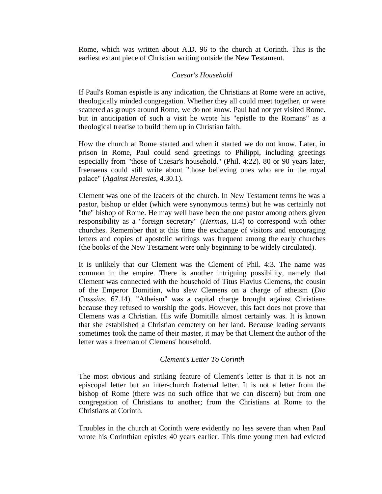Rome, which was written about A.D. 96 to the church at Corinth. This is the earliest extant piece of Christian writing outside the New Testament.

# *Caesar's Household*

If Paul's Roman espistle is any indication, the Christians at Rome were an active, theologically minded congregation. Whether they all could meet together, or were scattered as groups around Rome, we do not know. Paul had not yet visited Rome. but in anticipation of such a visit he wrote his "epistle to the Romans" as a theological treatise to build them up in Christian faith.

How the church at Rome started and when it started we do not know. Later, in prison in Rome, Paul could send greetings to Philippi, including greetings especially from "those of Caesar's household," (Phil. 4:22). 80 or 90 years later, Iraenaeus could still write about "those believing ones who are in the royal palace" (*Against Heresies*, 4.30.1).

Clement was one of the leaders of the church. In New Testament terms he was a pastor, bishop or elder (which were synonymous terms) but he was certainly not "the" bishop of Rome. He may well have been the one pastor among others given responsibility as a "foreign secretary" (*Hermas*, II.4) to correspond with other churches. Remember that at this time the exchange of visitors and encouraging letters and copies of apostolic writings was frequent among the early churches (the books of the New Testament were only beginning to be widely circulated).

It is unlikely that our Clement was the Clement of Phil. 4:3. The name was common in the empire. There is another intriguing possibility, namely that Clement was connected with the household of Titus Flavius Clemens, the cousin of the Emperor Domitian, who slew Clemens on a charge of atheism (*Dio Casssius*, 67.14). "Atheism" was a capital charge brought against Christians because they refused to worship the gods. However, this fact does not prove that Clemens was a Christian. His wife Domitilla almost certainly was. It is known that she established a Christian cemetery on her land. Because leading servants sometimes took the name of their master, it may be that Clement the author of the letter was a freeman of Clemens' household.

# *Clement's Letter To Corinth*

The most obvious and striking feature of Clement's letter is that it is not an episcopal letter but an inter-church fraternal letter. It is not a letter from the bishop of Rome (there was no such office that we can discern) but from one congregation of Christians to another; from the Christians at Rome to the Christians at Corinth.

Troubles in the church at Corinth were evidently no less severe than when Paul wrote his Corinthian epistles 40 years earlier. This time young men had evicted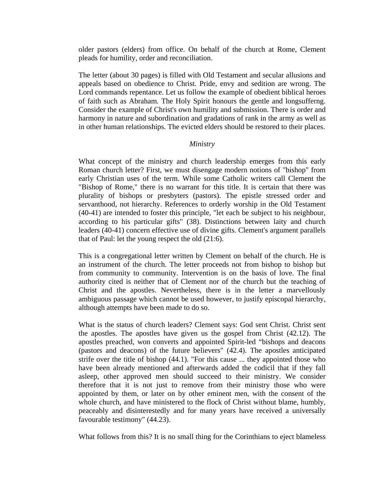older pastors (elders) from office. On behalf of the church at Rome, Clement pleads for humility, order and reconciliation.

The letter (about 30 pages) is filled with Old Testament and secular allusions and appeals based on obedience to Christ. Pride, envy and sedition are wrong. The Lord commands repentance. Let us follow the example of obedient biblical heroes of faith such as Abraham. The Holy Spirit honours the gentle and longsufferng. Consider the example of Christ's own humility and submission. There is order and harmony in nature and subordination and gradations of rank in the army as well as in other human relationships. The evicted elders should be restored to their places.

## *Ministry*

What concept of the ministry and church leadership emerges from this early Roman church letter? First, we must disengage modern notions of "bishop" from early Christian uses of the term. While some Catholic writers call Clement the "Bishop of Rome," there is no warrant for this title. It is certain that there was plurality of bishops or presbyters (pastors). The epistle stressed order and servanthood, not hierarchy. References to orderly worship in the Old Testament (40-41) are intended to foster this principle, "let each be subject to his neighbour, according to his particular gifts" (38). Distinctions between laity and church leaders (40-41) concern effective use of divine gifts. Clement's argument parallels that of Paul: let the young respect the old (21:6).

This is a congregational letter written by Clement on behalf of the church. He is an instrument of the church. The letter proceeds not from bishop to bishop but from community to community. Intervention is on the basis of love. The final authority cited is neither that of Clement nor of the church but the teaching of Christ and the apostles. Nevertheless, there is in the letter a marvellously ambiguous passage which cannot be used however, to justify episcopal hierarchy, although attempts have been made to do so.

What is the status of church leaders? Clement says: God sent Christ. Christ sent the apostles. The apostles have given us the gospel from Christ (42.12). The apostles preached, won converts and appointed Spirit-led "bishops and deacons (pastors and deacons) of the future believers" (42.4). The apostles anticipated strife over the title of bishop (44.1). "For this cause ... they appointed those who have been already mentioned and afterwards added the codicil that if they fall asleep, other approved men should succeed to their ministry. We consider therefore that it is not just to remove from their ministry those who were appointed by them, or later on by other eminent men, with the consent of the whole church, and have ministered to the flock of Christ without blame, humbly, peaceably and disinterestedly and for many years have received a universally favourable testimony" (44.23).

What follows from this? It is no small thing for the Corinthians to eject blameless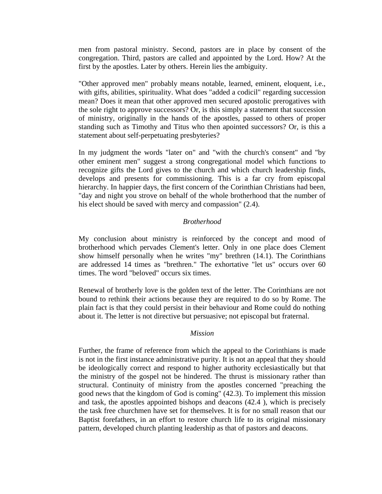men from pastoral ministry. Second, pastors are in place by consent of the congregation. Third, pastors are called and appointed by the Lord. How? At the first by the apostles. Later by others. Herein lies the ambiguity.

"Other approved men" probably means notable, learned, eminent, eloquent, i.e., with gifts, abilities, spirituality. What does "added a codicil" regarding succession mean? Does it mean that other approved men secured apostolic prerogatives with the sole right to approve successors? Or, is this simply a statement that succession of ministry, originally in the hands of the apostles, passed to others of proper standing such as Timothy and Titus who then apointed successors? Or, is this a statement about self-perpetuating presbyteries?

In my judgment the words "later on" and "with the church's consent" and "by other eminent men" suggest a strong congregational model which functions to recognize gifts the Lord gives to the church and which church leadership finds, develops and presents for commissioning. This is a far cry from episcopal hierarchy. In happier days, the first concern of the Corinthian Christians had been, "day and night you strove on behalf of the whole brotherhood that the number of his elect should be saved with mercy and compassion" (2.4).

# *Brotherhood*

My conclusion about ministry is reinforced by the concept and mood of brotherhood which pervades Clement's letter. Only in one place does Clement show himself personally when he writes "my" brethren (14.1). The Corinthians are addressed 14 times as "brethren." The exhortative "let us" occurs over 60 times. The word "beloved" occurs six times.

Renewal of brotherly love is the golden text of the letter. The Corinthians are not bound to rethink their actions because they are required to do so by Rome. The plain fact is that they could persist in their behaviour and Rome could do nothing about it. The letter is not directive but persuasive; not episcopal but fraternal.

## *Mission*

Further, the frame of reference from which the appeal to the Corinthians is made is not in the first instance administrative purity. It is not an appeal that they should be ideologically correct and respond to higher authority ecclesiastically but that the ministry of the gospel not be hindered. The thrust is missionary rather than structural. Continuity of ministry from the apostles concerned "preaching the good news that the kingdom of God is coming" (42.3). To implement this mission and task, the apostles appointed bishops and deacons (42.4 ), which is precisely the task free churchmen have set for themselves. It is for no small reason that our Baptist forefathers, in an effort to restore church life to its original missionary pattern, developed church planting leadership as that of pastors and deacons.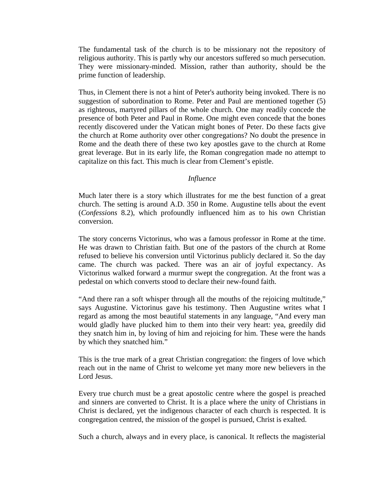The fundamental task of the church is to be missionary not the repository of religious authority. This is partly why our ancestors suffered so much persecution. They were missionary-minded. Mission, rather than authority, should be the prime function of leadership.

Thus, in Clement there is not a hint of Peter's authority being invoked. There is no suggestion of subordination to Rome. Peter and Paul are mentioned together (5) as righteous, martyred pillars of the whole church. One may readily concede the presence of both Peter and Paul in Rome. One might even concede that the bones recently discovered under the Vatican might bones of Peter. Do these facts give the church at Rome authority over other congregations? No doubt the presence in Rome and the death there of these two key apostles gave to the church at Rome great leverage. But in its early life, the Roman congregation made no attempt to capitalize on this fact. This much is clear from Clement's epistle.

## *Influence*

Much later there is a story which illustrates for me the best function of a great church. The setting is around A.D. 350 in Rome. Augustine tells about the event (*Confessions* 8.2), which profoundly influenced him as to his own Christian conversion.

The story concerns Victorinus, who was a famous professor in Rome at the time. He was drawn to Christian faith. But one of the pastors of the church at Rome refused to believe his conversion until Victorinus publicly declared it. So the day came. The church was packed. There was an air of joyful expectancy. As Victorinus walked forward a murmur swept the congregation. At the front was a pedestal on which converts stood to declare their new-found faith.

"And there ran a soft whisper through all the mouths of the rejoicing multitude," says Augustine. Victorinus gave his testimony. Then Augustine writes what I regard as among the most beautiful statements in any language, "And every man would gladly have plucked him to them into their very heart: yea, greedily did they snatch him in, by loving of him and rejoicing for him. These were the hands by which they snatched him."

This is the true mark of a great Christian congregation: the fingers of love which reach out in the name of Christ to welcome yet many more new believers in the Lord Jesus.

Every true church must be a great apostolic centre where the gospel is preached and sinners are converted to Christ. It is a place where the unity of Christians in Christ is declared, yet the indigenous character of each church is respected. It is congregation centred, the mission of the gospel is pursued, Christ is exalted.

Such a church, always and in every place, is canonical. It reflects the magisterial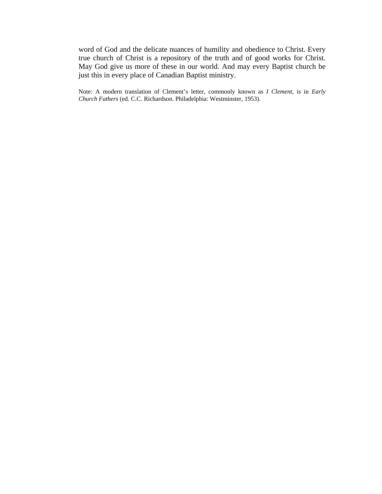word of God and the delicate nuances of humility and obedience to Christ. Every true church of Christ is a repository of the truth and of good works for Christ. May God give us more of these in our world. And may every Baptist church be just this in every place of Canadian Baptist ministry.

Note: A modern translation of Clement's letter, commonly known as *I Clement*, is in *Early Church Fathers* (ed. C.C. Richardson. Philadelphia: Westminster, 1953).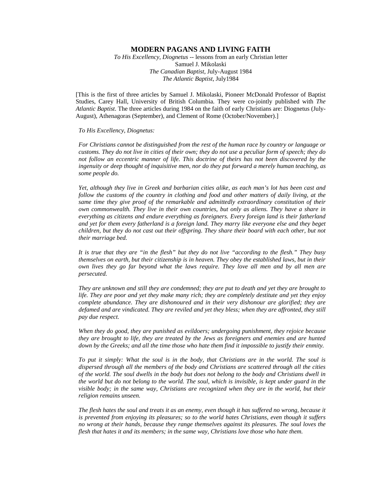#### **MODERN PAGANS AND LIVING FAITH**

*To His Excellency, Diognetus* -- lessons from an early Christian letter Samuel J. Mikolaski *The Canadian Baptist*, July-August 1984 *The Atlantic Baptist,* July1984

[This is the first of three articles by Samuel J. Mikolaski, Pioneer McDonald Professor of Baptist Studies, Carey Hall, University of British Columbia. They were co-jointly published with *The Atlantic Baptist*. The three articles during 1984 on the faith of early Christians are: Diognetus (July-August), Athenagoras (September), and Clement of Rome (October/November).]

#### *To His Excellency, Diognetus:*

*For Christians cannot be distinguished from the rest of the human race by country or language or customs. They do not live in cities of their own; they do not use a peculiar form of speech; they do not follow an eccentric manner of life. This doctrine of theirs has not been discovered by the ingenuity or deep thought of inquisitive men, nor do they put forward a merely human teaching, as some people do.* 

*Yet, although they live in Greek and barbarian cities alike, as each man's lot has been cast and*  follow the customs of the country in clothing and food and other matters of daily living, at the *same time they give proof of the remarkable and admittedly extraordinary constitution of their own commonwealth. They live in their own countries, but only as aliens. They have a share in everything as citizens and endure everything as foreigners. Every foreign land is their fatherland and yet for them every fatherland is a foreign land. They marry like everyone else and they beget children, but they do not cast out their offspring. They share their board with each other, but not their marriage bed.* 

*It is true that they are "in the flesh" but they do not live "according to the flesh." They busy themselves on earth, but their citizenship is in heaven. They obey the established laws, but in their own lives they go far beyond what the laws require. They love all men and by all men are persecuted.* 

*They are unknown and still they are condemned; they are put to death and yet they are brought to life. They are poor and yet they make many rich; they are completely destitute and yet they enjoy complete abundance. They are dishonoured and in their very dishonour are glorified; they are defamed and are vindicated. They are reviled and yet they bless; when they are affronted, they still pay due respect.* 

*When they do good, they are punished as evildoers; undergoing punishment, they rejoice because they are brought to life, they are treated by the Jews as foreigners and enemies and are hunted down by the Greeks; and all the time those who hate them find it impossible to justify their enmity.* 

*To put it simply: What the soul is in the body, that Christians are in the world. The soul is dispersed through all the members of the body and Christians are scattered through all the cities of the world. The soul dwells in the body but does not belong to the body and Christians dwell in the world but do not belong to the world. The soul, which is invisible, is kept under guard in the visible body; in the same way, Christians are recognized when they are in the world, but their religion remains unseen.* 

*The flesh hates the soul and treats it as an enemy, even though it has suffered no wrong, because it is prevented from enjoying its pleasures; so to the world hates Christians, even though it suffers no wrong at their hands, because they range themselves against its pleasures. The soul loves the flesh that hates it and its members; in the same way, Christians love those who hate them.*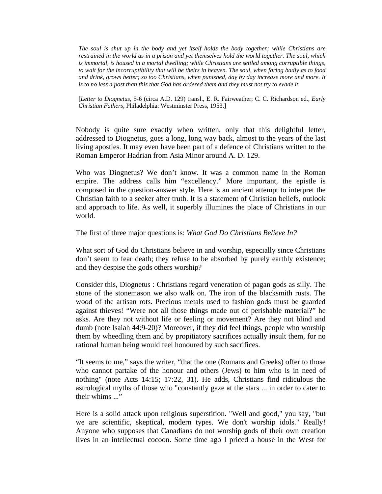*The soul is shut up in the body and yet itself holds the body together; while Christians are restrained in the world as in a prison and yet themselves hold the world together. The soul, which is immortal, is housed in a mortal dwelling; while Christians are settled among corruptible things, to wait for the incorruptibility that will be theirs in heaven. The soul, when faring badly as to food and drink, grows better; so too Christians, when punished, day by day increase more and more. It*  is to no less a post than this that God has ordered them and they must not try to evade it.

[*Letter to Diognetus*, 5-6 (circa A.D. 129) transl., E. R. Fairweather; C. C. Richardson ed., *Early Christian Fathers*, Philadelphia: Westminster Press, 1953.]

Nobody is quite sure exactly when written, only that this delightful letter, addressed to Diognetus, goes a long, long way back, almost to the years of the last living apostles. It may even have been part of a defence of Christians written to the Roman Emperor Hadrian from Asia Minor around A. D. 129.

Who was Diognetus? We don't know. It was a common name in the Roman empire. The address calls him "excellency." More important, the epistle is composed in the question-answer style. Here is an ancient attempt to interpret the Christian faith to a seeker after truth. It is a statement of Christian beliefs, outlook and approach to life. As well, it superbly illumines the place of Christians in our world.

The first of three major questions is: *What God Do Christians Believe In?* 

What sort of God do Christians believe in and worship, especially since Christians don't seem to fear death; they refuse to be absorbed by purely earthly existence; and they despise the gods others worship?

Consider this, Diognetus : Christians regard veneration of pagan gods as silly. The stone of the stonemason we also walk on. The iron of the blacksmith rusts. The wood of the artisan rots. Precious metals used to fashion gods must be guarded against thieves! "Were not all those things made out of perishable material?" he asks. Are they not without life or feeling or movement? Are they not blind and dumb (note Isaiah 44:9-20)? Moreover, if they did feel things, people who worship them by wheedling them and by propitiatory sacrifices actually insult them, for no rational human being would feel honoured by such sacrifices.

"It seems to me," says the writer, "that the one (Romans and Greeks) offer to those who cannot partake of the honour and others (Jews) to him who is in need of nothing" (note Acts 14:15; 17:22, 31). He adds, Christians find ridiculous the astrological myths of those who "constantly gaze at the stars ... in order to cater to their whims ..."

Here is a solid attack upon religious superstition. "Well and good," you say, "but we are scientific, skeptical, modern types. We don't worship idols." Really! Anyone who supposes that Canadians do not worship gods of their own creation lives in an intellectual cocoon. Some time ago I priced a house in the West for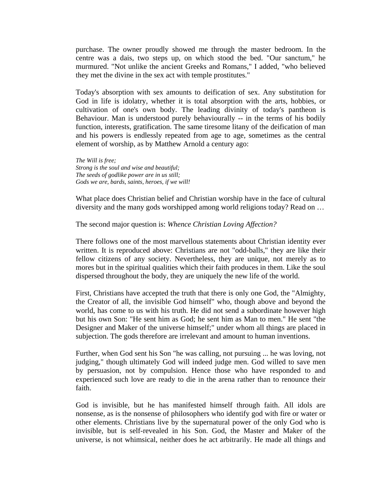purchase. The owner proudly showed me through the master bedroom. In the centre was a dais, two steps up, on which stood the bed. "Our sanctum," he murmured. "Not unlike the ancient Greeks and Romans," I added, "who believed they met the divine in the sex act with temple prostitutes."

Today's absorption with sex amounts to deification of sex. Any substitution for God in life is idolatry, whether it is total absorption with the arts, hobbies, or cultivation of one's own body. The leading divinity of today's pantheon is Behaviour. Man is understood purely behaviourally -- in the terms of his bodily function, interests, gratification. The same tiresome litany of the deification of man and his powers is endlessly repeated from age to age, sometimes as the central element of worship, as by Matthew Arnold a century ago:

*The Will is free; Strong is the soul and wise and beautiful; The seeds of godlike power are in us still; Gods we are, bards, saints, heroes, if we will!* 

What place does Christian belief and Christian worship have in the face of cultural diversity and the many gods worshipped among world religions today? Read on …

The second major question is: *Whence Christian Loving Affection?*

There follows one of the most marvellous statements about Christian identity ever written. It is reproduced above: Christians are not "odd-balls," they are like their fellow citizens of any society. Nevertheless, they are unique, not merely as to mores but in the spiritual qualities which their faith produces in them. Like the soul dispersed throughout the body, they are uniquely the new life of the world.

First, Christians have accepted the truth that there is only one God, the "Almighty, the Creator of all, the invisible God himself" who, though above and beyond the world, has come to us with his truth. He did not send a subordinate however high but his own Son: "He sent him as God; he sent him as Man to men." He sent "the Designer and Maker of the universe himself;" under whom all things are placed in subjection. The gods therefore are irrelevant and amount to human inventions.

Further, when God sent his Son "he was calling, not pursuing ... he was loving, not judging," though ultimately God will indeed judge men. God willed to save men by persuasion, not by compulsion. Hence those who have responded to and experienced such love are ready to die in the arena rather than to renounce their faith.

God is invisible, but he has manifested himself through faith. All idols are nonsense, as is the nonsense of philosophers who identify god with fire or water or other elements. Christians live by the supernatural power of the only God who is invisible, but is self-revealed in his Son. God, the Master and Maker of the universe, is not whimsical, neither does he act arbitrarily. He made all things and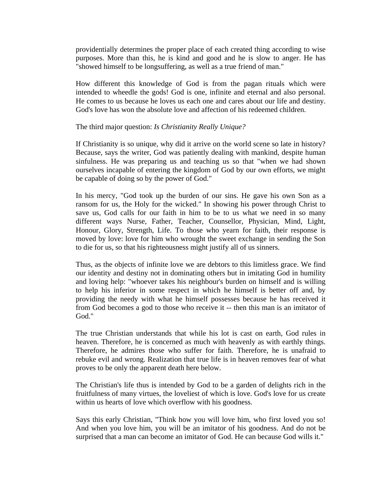providentially determines the proper place of each created thing according to wise purposes. More than this, he is kind and good and he is slow to anger. He has "showed himself to be longsuffering, as well as a true friend of man."

How different this knowledge of God is from the pagan rituals which were intended to wheedle the gods! God is one, infinite and eternal and also personal. He comes to us because he loves us each one and cares about our life and destiny. God's love has won the absolute love and affection of his redeemed children.

# The third major question: *Is Christianity Really Unique?*

If Christianity is so unique, why did it arrive on the world scene so late in history? Because, says the writer, God was patiently dealing with mankind, despite human sinfulness. He was preparing us and teaching us so that "when we had shown ourselves incapable of entering the kingdom of God by our own efforts, we might be capable of doing so by the power of God."

In his mercy, "God took up the burden of our sins. He gave his own Son as a ransom for us, the Holy for the wicked." In showing his power through Christ to save us, God calls for our faith in him to be to us what we need in so many different ways Nurse, Father, Teacher, Counsellor, Physician, Mind, Light, Honour, Glory, Strength, Life. To those who yearn for faith, their response is moved by love: love for him who wrought the sweet exchange in sending the Son to die for us, so that his righteousness might justify all of us sinners.

Thus, as the objects of infinite love we are debtors to this limitless grace. We find our identity and destiny not in dominating others but in imitating God in humility and loving help: "whoever takes his neighbour's burden on himself and is willing to help his inferior in some respect in which he himself is better off and, by providing the needy with what he himself possesses because he has received it from God becomes a god to those who receive it -- then this man is an imitator of God."

The true Christian understands that while his lot is cast on earth, God rules in heaven. Therefore, he is concerned as much with heavenly as with earthly things. Therefore, he admires those who suffer for faith. Therefore, he is unafraid to rebuke evil and wrong. Realization that true life is in heaven removes fear of what proves to be only the apparent death here below.

The Christian's life thus is intended by God to be a garden of delights rich in the fruitfulness of many virtues, the loveliest of which is love. God's love for us create within us hearts of love which overflow with his goodness.

Says this early Christian, "Think how you will love him, who first loved you so! And when you love him, you will be an imitator of his goodness. And do not be surprised that a man can become an imitator of God. He can because God wills it."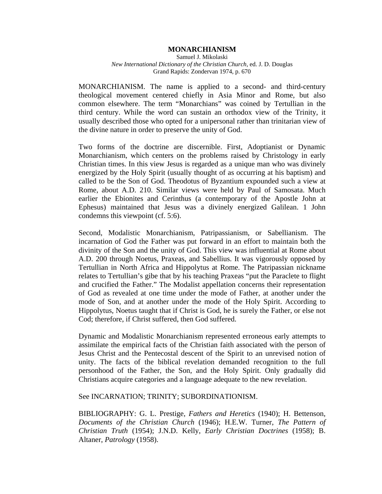#### **MONARCHIANISM**

Samuel J. Mikolaski *New International Dictionary of the Christian Church,* ed. J. D. Douglas Grand Rapids: Zondervan 1974, p. 670

MONARCHIANISM. The name is applied to a second- and third-century theological movement centered chiefly in Asia Minor and Rome, but also common elsewhere. The term "Monarchians" was coined by Tertullian in the third century. While the word can sustain an orthodox view of the Trinity, it usually described those who opted for a unipersonal rather than trinitarian view of the divine nature in order to preserve the unity of God.

Two forms of the doctrine are discernible. First, Adoptianist or Dynamic Monarchianism, which centers on the problems raised by Christology in early Christian times. In this view Jesus is regarded as a unique man who was divinely energized by the Holy Spirit (usually thought of as occurring at his baptism) and called to be the Son of God. Theodotus of Byzantium expounded such a view at Rome, about A.D. 210. Similar views were held by Paul of Samosata. Much earlier the Ebionites and Cerinthus (a contemporary of the Apostle John at Ephesus) maintained that Jesus was a divinely energized Galilean. 1 John condemns this viewpoint (cf. 5:6).

Second, Modalistic Monarchianism, Patripassianism, or Sabellianism. The incarnation of God the Father was put forward in an effort to maintain both the divinity of the Son and the unity of God. This view was influential at Rome about A.D. 200 through Noetus, Praxeas, and Sabellius. It was vigorously opposed by Tertullian in North Africa and Hippolytus at Rome. The Patripassian nickname relates to Tertullian's gibe that by his teaching Praxeas "put the Paraclete to flight and crucified the Father." The Modalist appellation concerns their representation of God as revealed at one time under the mode of Father, at another under the mode of Son, and at another under the mode of the Holy Spirit. According to Hippolytus, Noetus taught that if Christ is God, he is surely the Father, or else not Cod; therefore, if Christ suffered, then God suffered.

Dynamic and Modalistic Monarchianism represented erroneous early attempts to assimilate the empirical facts of the Christian faith associated with the person of Jesus Christ and the Pentecostal descent of the Spirit to an unrevised notion of unity. The facts of the biblical revelation demanded recognition to the full personhood of the Father, the Son, and the Holy Spirit. Only gradually did Christians acquire categories and a language adequate to the new revelation.

See INCARNATION; TRINITY; SUBORDINATIONISM.

BIBLIOGRAPHY: G. L. Prestige, *Fathers and Heretics* (1940); H. Bettenson, *Documents of the Christian Church* (1946); H.E.W. Turner, *The Pattern of Christian Truth* (1954); J.N.D. Kelly, *Early Christian Doctrines* (1958); B. Altaner, *Patrology* (1958).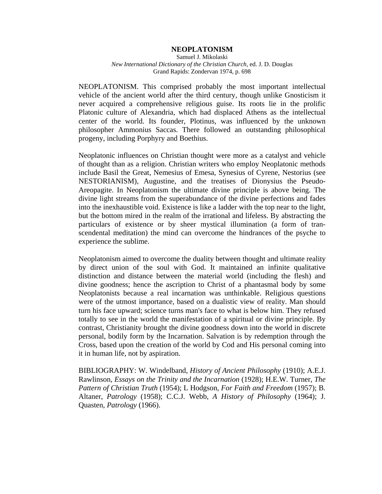### **NEOPLATONISM**

Samuel J. Mikolaski *New International Dictionary of the Christian Church,* ed. J. D. Douglas Grand Rapids: Zondervan 1974, p. 698

NEOPLATONISM. This comprised probably the most important intellectual vehicle of the ancient world after the third century, though unlike Gnosticism it never acquired a comprehensive religious guise. Its roots lie in the prolific Platonic culture of Alexandria, which had displaced Athens as the intellectual center of the world. Its founder, Plotinus, was influenced by the unknown philosopher Ammonius Saccas. There followed an outstanding philosophical progeny, including Porphyry and Boethius.

Neoplatonic influences on Christian thought were more as a catalyst and vehicle of thought than as a religion. Christian writers who employ Neoplatonic methods include Basil the Great, Nemesius of Emesa, Synesius of Cyrene, Nestorius (see NESTORIANISM), Augustine, and the treatises of Dionysius the Pseudo-Areopagite. In Neoplatonism the ultimate divine principle is above being. The divine light streams from the superabundance of the divine perfections and fades into the inexhaustible void. Existence is like a ladder with the top near to the light, but the bottom mired in the realm of the irrational and lifeless. By abstracting the particulars of existence or by sheer mystical illumination (a form of transcendental meditation) the mind can overcome the hindrances of the psyche to experience the sublime.

Neoplatonism aimed to overcome the duality between thought and ultimate reality by direct union of the soul with God. It maintained an infinite qualitative distinction and distance between the material world (including the flesh) and divine goodness; hence the ascription to Christ of a phantasmal body by some Neoplatonists because a real incarnation was unthinkable. Religious questions were of the utmost importance, based on a dualistic view of reality. Man should turn his face upward; science turns man's face to what is below him. They refused totally to see in the world the manifestation of a spiritual or divine principle. By contrast, Christianity brought the divine goodness down into the world in discrete personal, bodily form by the Incarnation. Salvation is by redemption through the Cross, based upon the creation of the world by Cod and His personal coming into it in human life, not by aspiration.

BIBLIOGRAPHY: W. Windelband, *History of Ancient Philosophy* (1910); A.E.J. Rawlinson, *Essays on the Trinity and the Incarnation* (1928); H.E.W. Turner, *The Pattern of Christian Truth* (1954); L Hodgson, *For Faith and Freedom* (1957); B. Altaner, *Patrology* (1958); C.C.J. Webb, *A History of Philosophy* (1964); J. Quasten, *Patrology* (1966).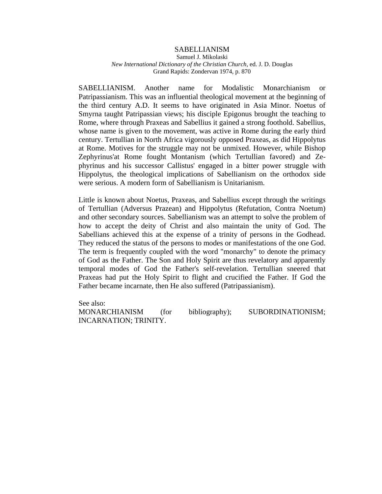## SABELLIANISM

#### Samuel J. Mikolaski *New International Dictionary of the Christian Church,* ed. J. D. Douglas Grand Rapids: Zondervan 1974, p. 870

SABELLIANISM. Another name for Modalistic Monarchianism or Patripassianism. This was an influential theological movement at the beginning of the third century A.D. It seems to have originated in Asia Minor. Noetus of Smyrna taught Patripassian views; his disciple Epigonus brought the teaching to Rome, where through Praxeas and Sabellius it gained a strong foothold. Sabellius, whose name is given to the movement, was active in Rome during the early third century. Tertullian in North Africa vigorously opposed Praxeas, as did Hippolytus at Rome. Motives for the struggle may not be unmixed. However, while Bishop Zephyrinus'at Rome fought Montanism (which Tertullian favored) and Zephyrinus and his successor Callistus' engaged in a bitter power struggle with Hippolytus, the theological implications of Sabellianism on the orthodox side were serious. A modern form of Sabellianism is Unitarianism.

Little is known about Noetus, Praxeas, and Sabellius except through the writings of Tertullian (Adversus Prazean) and Hippolytus (Refutation, Contra Noetum) and other secondary sources. Sabellianism was an attempt to solve the problem of how to accept the deity of Christ and also maintain the unity of God. The Sabellians achieved this at the expense of a trinity of persons in the Godhead. They reduced the status of the persons to modes or manifestations of the one God. The term is frequently coupled with the word "monarchy" to denote the primacy of God as the Father. The Son and Holy Spirit are thus revelatory and apparently temporal modes of God the Father's self-revelation. Tertullian sneered that Praxeas had put the Holy Spirit to flight and crucified the Father. If God the Father became incarnate, then He also suffered (Patripassianism).

See also: MONARCHIANISM (for bibliography); SUBORDINATIONISM; INCARNATION; TRINITY.